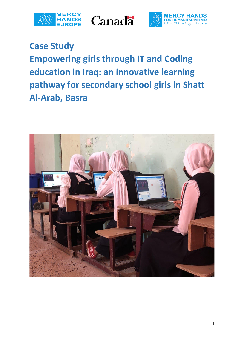





**Case Study Empowering girls through IT and Coding education in Iraq: an innovative learning pathway for secondary school girls in Shatt Al-Arab, Basra**

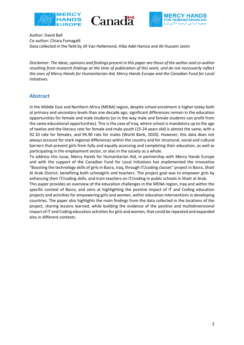





Author: David Ball Co-author: Chiara Fumagalli Data collected in the field by Jill Van Hellemond, Hiba Adel Hamza and Ali Hussein Jasim

*Disclaimer: The ideas, opinions and findings present in this paper are those of the author and co-author resulting from research findings at the time of publication of this work, and do not necessarily reflect the ones of Mercy Hands for Humanitarian Aid, Mercy Hands Europe and the Canadian Fund for Local Initiatives.*

#### **Abstract**

In the Middle East and Northern Africa (MENA) region, despite school enrolment is higher today both at primary and secondary levels than one decade ago, significant differences remain in the education opportunities for female and male students (or in the way male and female students can profit from the same educational opportunities). This is the case of Iraq, where school is mandatory up to the age of twelve and the literacy rate for female and male youth (15-24 years old) is almost the same, with a 92.10 rate for females, and 94.90 rate for males (World Bank, 2020). However, this data does not always account for stark regional differences within the country and for structural, social and cultural barriers that prevent girls from fully and equally accessing and completing their education, as well as participating in the employment sector, or also in the society as a whole.

To address this issue, Mercy Hands for Humanitarian Aid, in partnership with Mercy Hands Europe and with the support of the Canadian Fund for Local Initiatives has implemented the innovative "Boosting the technology skills of girls in Basra, Iraq, through IT/coding classes" project in Basra, Shatt Al Arab District, benefiting both schoolgirls and teachers. The project goal was to empower girls by enhancing their IT/coding skills, and train teachers on IT/coding in public schools in Shatt al-Arab. This paper provides an overview of the education challenges in the MENA region, Iraq and within the

specific context of Basra, and aims at highlighting the positive impact of IT and Coding education projects and activities for empowering girls and women, within education interventions in developing countries. The paper also highlights the main findings from the data collected in the locations of the project, sharing lessons learned, while building the evidence of the positive and multidimensional impact of IT and Coding education activities for girls and women, that could be repeated and expanded also in different contexts.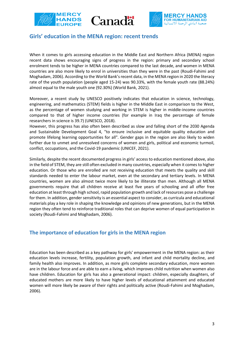





#### **Girls' education in the MENA region: recent trends**

When it comes to girls accessing education in the Middle East and Northern Africa (MENA) region recent data shows encouraging signs of progress in the region: primary and secondary school enrolment tends to be higher in MENA countries compared to the last decade, and women in MENA countries are also more likely to enrol in universities than they were in the past (Roudi-Fahimi and Moghadam, 2006). According to the World Bank's recent data, in the MENA region in 2020 the literacy rate of the youth population (people aged 15-24) was 90.33%, with the female youth rate (88.24%) almost equal to the male youth one (92.30%) (World Bank, 2021).

Moreover, a recent study by UNESCO positively indicates that education in science, technology, engineering, and mathematics (STEM) fields is higher in the Middle East in comparison to the West, as the percentage of women studying and working in STEM is higher in middle-income countries compared to that of higher income countries (for example in Iraq the percentage of female researchers in science is 39.7) (UNESCO, 2018).

However, this progress has also often been described as slow and falling short of the 2030 Agenda and Sustainable Development Goal 4, "to ensure inclusive and equitable quality education and promote lifelong learning opportunities for all". Gender gaps in the region are also likely to widen further due to unmet and unresolved concerns of women and girls, political and economic turmoil, conflict, occupations, and the Covid-19 pandemic (UNICEF, 2021).

Similarly, despite the recent documented progress in girls' access to education mentioned above, also in the field of STEM, they are still often excluded in many countries, especially when it comes to higher education. Or those who are enrolled are not receiving education that meets the quality and skill standards needed to enter the labour market, even at the secondary and tertiary levels. In MENA countries, women are also almost twice more likely to be illiterate than men. Although all MENA governments require that all children receive at least five years of schooling and all offer free education at least through high school, rapid population growth and lack of resources pose a challenge for them. In addition, gender sensitivity is an essential aspect to consider, as curricula and educational materials play a key role in shaping the knowledge and opinions of new generations, but in the MENA region they often tend to reinforce traditional roles that can deprive women of equal participation in society (Roudi-Fahimi and Moghadam, 2006).

### **The importance of education for girls in the MENA region**

Education has been described as a key pathway for girls' empowerment in the MENA region: as their education levels increase, fertility, population growth, and infant and child mortality decline, and family health also improves. In addition, as more girls complete secondary education, more women are in the labour force and are able to earn a living, which improves child nutrition when women also have children. Education for girls has also a generational impact: children, especially daughters, of educated mothers are more likely to have higher levels of educational attainment and educated women will more likely be aware of their rights and politically active (Roudi-Fahimi and Moghadam, 2006).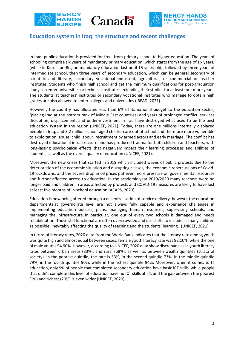





#### **Education system in Iraq: the structure and recent challenges**

In Iraq, public education is provided for free, from primary school to higher education. The years of schooling comprise six years of mandatory primary education, which starts from the age of six years, (while in Kurdistan Region mandatory education last until 15 years old), followed by three years of intermediate school, then three years of secondary education, which can be general secondary of scientific and literary, secondary vocational industrial, agricultural, or commercial or teacher institutes. Students who finish high school and get the minimum qualifications for post-graduation study can enter universities or technical institutes, extending their studies for at least four more years. The students at teachers' institutes or secondary vocational institutes who manage to obtain high grades are also allowed to enter colleges and universities (IRFAD, 2021).

However, the country has allocated less than 6% of its national budget to the education sector, (placing Iraq at the bottom rank of Middle East countries) and years of prolonged conflict, services disruption, displacement, and under-investment in Iraq have destroyed what used to be the best education system in the region (UNICEF, 2021). Today, there are one millions internally displaced people in Iraq, and 3.2 million school-aged children are out of school and therefore more vulnerable to exploitation, abuse, child labour, recruitment by armed actors and early marriage. The conflict has destroyed educational infrastructure and has produced trauma for both children and teachers, with long-lasting psychological effects that negatively impact their learning processes and abilities of students, as well as the overall quality of education (UNICEF, 2021).

Moreover, the new crises that started in 2019 which included waves of public protests due to the deterioration of the economic situation and disrupting classes, the economic repercussions of Covid-19 lockdowns, and the severe drop in oil prices put even more pressure on governmental resources and further affected access to education. In the academic year 2019/2020 many teachers were no longer paid and children in areas affected by protests and COVID-19 measures are likely to have lost at least five months of in-school education (ACAPS, 2020).

Education is now being offered through a decentralisation of service delivery, however the education departments at governorate level are not always fully capable and experience challenges in implementing education policies, plans, managing human resources, supervising schools, and managing the infrastructure. In particular, one out of every two schools is damaged and needs rehabilitation. Those still functional are often overcrowded and use shifts to include as many children as possible, inevitably affecting the quality of teaching and the students' learning. (UNICEF, 2021)

In terms of literacy rates, 2020 data from the World Bank indicates that the literacy rate among youth was quite high and almost equal between sexes: female youth literacy rate was 92.10%, while the one of male youths 94.90%. However, according to UNICEF, 2020 data show discrepanciesin youth literacy rates between urban areas (83%), and rural (68%), as well as between wealth quintiles (strata of society). In the poorest quintile, the rate is 53%, in the second quintile 73%, in the middle quintile 79%, in the fourth quintile 90%, while in the richest quintile 94%. Moreover, when it comes to IT education, only 9% of people that completed secondary education have basic ICT skills, while people that didn't complete this level of education have no ICT skills at all, and the gap between the poorest (1%) and richest (20%) is even wider (UNICEF, 2020).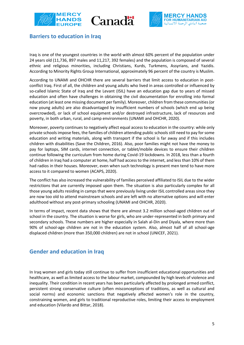





### **Barriers to education in Iraq**

Iraq is one of the youngest countries in the world with almost 60% percent of the population under 24 years old (11,736, 897 males and 11,217, 392 females) and the population is composed of several ethnic and religious minorities, including Christians, Kurds, Turkmens, Assyrians, and Yazidis. According to Minority Rights Group International, approximately 96 percent of the country is Muslim.

According to UNAMI and OHCHR there are several barriers that limit access to education in postconflict Iraq. First of all, the children and young adults who lived in areas controlled or influenced by so-called Islamic State of Iraq and the Levant (ISIL) have an education gap due to years of missed education and often have challenges in obtaining the civil documentation for enrolling into formal education (at least one missing document per family). Moreover, children from these communities (or now young adults) are also disadvantaged by insufficient numbers of schools (which end up being overcrowded), or lack of school equipment and/or destroyed infrastructure, lack of resources and poverty, in both urban, rural, and camp environments (UNAMI and OHCHR, 2020).

Moreover, poverty continues to negatively affect equal access to education in the country: while only private schools impose fees, the families of children attending public schools still need to pay for some education and writing materials, along with transport if the school is far away and if this includes children with disabilities (Save the Children, 2016). Also, poor families might not have the money to pay for laptops, SIM cards, internet connection, or tablet/mobile devices to ensure their children continue following the curriculum from home during Covid-19 lockdowns. In 2018, less than a fourth of children in Iraq had a computer at home, half had access to the internet, and less than 10% of them had radios in their houses. Moreover, even when such technology is present men tend to have more access to it compared to women (ACAPS, 2020).

The conflict has also increased the vulnerability of families perceived affiliated to ISIL due to the wider restrictions that are currently imposed upon them. The situation is also particularly complex for all those young adults residing in camps that were previously living under ISIL controlled areas since they are now too old to attend mainstream schools and are left with no alternative options and will enter adulthood without any post-primary schooling (UNAMI and OHCHR, 2020).

In terms of impact, recent data shows that there are almost 3.2 million school-aged children out of school in the country. The situation is worse for girls, who are under-represented in both primary and secondary schools. These numbers are higher especially in Salah al-Din and Diyala, where more than 90% of school-age children are not in the education system. Also, almost half of all school-age displaced children (more than 350,000 children) are not in school (UNICEF, 2021).

## **Gender and education in Iraq**

In Iraq women and girls today still continue to suffer from insufficient educational opportunities and healthcare, as well as limited access to the labour market, compounded by high levels of violence and inequality. Their condition in recent years has been particularly affected by prolonged armed conflict, persistent strong conservative culture (often misconceptions of traditions, as well as cultural and social norms) and economic sanctions that negatively affected women's role in the country, constraining women, and girls to traditional reproductive roles, limiting their access to employment and education (Vilardo and Bittar, 2018).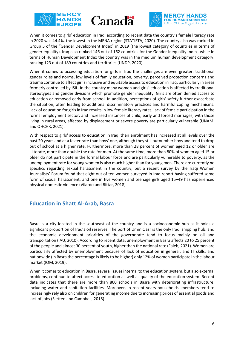





When it comes to girls' education in Iraq, according to recent data the country's female literacy rate in 2020 was 44.4%, the lowest in the MENA region (STATISTA, 2020). The country also was ranked in Group 5 of the "Gender Development Index" in 2019 (the lowest category of countries in terms of gender equality). Iraq also ranked 146 out of 162 countries for the Gender Inequality Index, while in terms of Human Development Index the country was in the medium human development category, ranking 123 out of 189 countries and territories (UNDP, 2020).

When it comes to accessing education for girls in Iraq the challenges are even greater: traditional gender roles and norms, low levels of family education, poverty, perceived protection concerns and trauma continue to affect girl's inclusive and equitable access to education in Iraq, particularly in areas formerly controlled by ISIL. In the country many women and girls' education is affected by traditional stereotypes and gender divisions which promote gender inequality. Girls are often denied access to education or removed early from school. In addition, perceptions of girls' safety further exacerbate the situation, often leading to additional discriminatory practices and harmful coping mechanisms. Lack of education for girls in Iraq results in low female literacy rates, lack of female participation in the formal employment sector, and increased instances of child, early and forced marriages, with those living in rural areas, affected by displacement or severe poverty are particularly vulnerable (UNAMI and OHCHR, 2021).

With respect to girls' access to education in Iraq, their enrolment has increased at all levels over the past 20 years and at a faster rate than boys' one, although they still outnumber boys and tend to drop out of school at a higher rate. Furthermore, more than 28 percent of women aged 12 or older are illiterate, more than double the rate for men. At the same time, more than 80% of women aged 15 or older do not participate in the formal labour force and are particularly vulnerable to poverty, as the unemployment rate for young women is also much higher than for young men. There are currently no specifics regarding sexual harassment in the country, but a recent survey by the Iraqi Women Journalists' Forum found that eight out of ten women surveyed in Iraq report having suffered some form of sexual harassment, and one in five women and teenage girls aged 15–49 has experienced physical domestic violence (Vilardo and Bittar, 2018).

### **Education in Shatt Al-Arab, Basra**

Basra is a city located in the southeast of the country and is a socioeconomic hub as it holds a significant proportion of Iraq's oil reserves. The port of Umm Qasr is the only Iraqi shipping hub, and the economic development priorities of the governorate tend to focus mainly on oil and transportation (IAU, 2010). According to recent data, unemployment in Basra affects 20 to 25 percent of the people and almost 30 percent of youth, higher than the national rate (Faleh, 2021). Women are particularly affected by unemployment because of lack of education in general, and IT skills, and nationwide (in Basra the percentage is likely to be higher) only 12% of women participate in the labour market (IOM, 2019).

When it comes to education in Basra, several issues internal to the education system, but also external problems, continue to affect access to education as well as quality of the education system. Recent data indicates that there are more than 800 schools in Basra with deteriorating infrastructure, including water and sanitation facilities. Moreover, in recent years households' members tend to increasingly rely also on children for generating income due to increasing prices of essential goods and lack of jobs (Sletten and Campbell, 2018).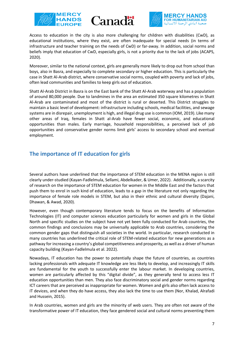





Access to education in the city is also more challenging for children with disabilities (CwD), as educational institutions, where they exist, are often inadequate for special needs (in terms of infrastructure and teacher training on the needs of CwD) or far-away. In addition, social norms and beliefs imply that education of CwD, especially girls, is not a priority due to the lack of jobs (ACAPS, 2020).

Moreover, similar to the national context, girls are generally more likely to drop out from school than boys, also in Basra, and especially to complete secondary or higher education. This is particularly the case in Shatt Al-Arab district, where conservative social norms, coupled with poverty and lack of jobs, often lead communities and families to keep girls out of education.

Shatt Al-Arab District in Basra is on the East bank of the Shatt Al-Arab waterway and has a population of around 80,000 people. Due to landmines in the area an estimated 350 square kilometres in Shatt Al-Arab are contaminated and most of the district is rural or deserted. This District struggles to maintain a basic level of development: infrastructure including schools, medical facilities, and sewage systems are in disrepair, unemployment is high, and illegal drug use is common (IOM, 2019). Like many other areas of Iraq, females in Shatt al-Arab have fewer social, economic, and educational opportunities than males. Early marriage, household responsibilities, a perceived lack of job opportunities and conservative gender norms limit girls' access to secondary school and eventual employment.

## **The importance of IT education for girls**

Several authors have underlined that the importance of STEM education in the MENA region is still clearly under-studied (Kayan-Fadlelmula, Sellami, Abdelkader, & Umer, 2022). Additionally, a scarcity of research on the importance of STEM education for women in the Middle East and the factors that push them to enrol in such kind of education, leads to a gap in the literature not only regarding the importance of female role models in STEM, but also in their ethnic and cultural diversity (Dajani, Dhawan, & Awad, 2020).

However, even though contemporary literature tends to focus on the benefits of Information Technologies (IT) and computer sciences education particularly for women and girls in the Global North and specific studies on the subject have not yet been fully conducted for Arab countries, the common findings and conclusions may be universally applicable to Arab countries, considering the common gender gaps that distinguish all societies in the world. In particular, research conducted in many countries has underlined the critical role of STEM-related education for new generations as a pathway for increasing a country's global competitiveness and prosperity, as well as a driver of human capacity building (Kayan-Fadlelmula et al. 2022).

Nowadays, IT education has the power to potentially shape the future of countries, as countries lacking professionals with adequate IT knowledge are less likely to develop, and increasingly IT skills are fundamental for the youth to successfully enter the labour market. In developing countries, women are particularly affected by this "digital divide", as they generally tend to access less IT education opportunities than men. They also face discriminatory social and gender norms regarding ICT careers that are perceived as inappropriate for women. Women and girls also often lack access to IT devices, and when they do have access, they also lack the time to use them (Nor, Khalad, Alrafadi and Hussein, 2015).

In Arab countries, women and girls are the minority of web users. They are often not aware of the transformative power of IT education, they face gendered social and cultural norms preventing them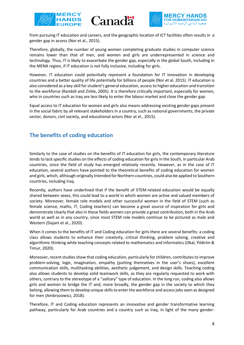





from pursuing IT education and careers, and the geographic location of ICT facilities often results in a gender gap in access (Nor et al., 2015).

Therefore, globally, the number of young women completing graduate studies in computer science remains lower than that of men, and women and girls are underrepresented in science and technology. Thus, IT is likely to exacerbate the gender gap, especially in the global South, including in the MENA region, if IT education is not fully inclusive, including for girls.

However, IT education could potentially represent a foundation for IT innovation in developing countries and a better quality of life potentially for billions of people (Nor et al. 2015). IT education is also considered as a key skill for student's general education, access to higher education and transition to the workforce (Randall and Zirkle, 2005). It is therefore critically important, especially for women, who in countries such as Iraq are less likely to enter the labour market and close the gender gap.

Equal access to IT education for women and girls also means addressing existing gender gaps present in the social fabric by all relevant stakeholders in a country, such as national governments, the private sector, donors, civil society, and educational actors (Nor at el., 2015).

## **The benefits of coding education**

Similarly to the case of studies on the benefits of IT education for girls, the contemporary literature tends to lack specific studies on the effects of coding education for girls in the South, in particular Arab countries, since the field of study has emerged relatively recently. However, as in the case of IT education, several authors have pointed to the theoretical benefits of coding education for women and girls, which, although originally intended for Northern countries, could also be applied to Southern countries, including Iraq.

Recently, authors have underlined that if the benefit of STEM-related education would be equally shared between sexes, this could lead to a world in which women are active and valued members of society. Moreover, female role models and other successful women in the field of STEM (such as female science, maths, IT, Coding teachers) can become a great source of inspiration for girls and demonstrate clearly that also in those fields women can provide a great contribution, both in the Arab world as well as in any country, since most STEM role models continue to be pictured as male and Western (Dajani et al., 2020).

When it comes to the benefits of IT and Coding education for girls there are several benefits: a coding class allows students to enhance their creativity, critical thinking, problem solving, creative and algorithmic thinking while teaching concepts related to mathematics and informatics (Okal, Yildirim & Timur, 2020).

Moreover, recent studies show that coding education, particularly for children, contributes to improve problem-solving, logic, imagination, empathy (putting themselves in the user's shoes), excellent communication skills, multitasking abilities, aesthetic judgement, and design skills. Teaching coding also allows students to develop solid teamwork skills, as they are regularly requested to work with others, contrary to the stereotype of a "solitary" type of education. In the long run, coding also allows girls and women to bridge the IT and, more broadly, the gender gap in the society to which they belong, allowing them to develop unique skills to enter the workforce and access jobs seen as designed for men (Ambrozowicz, 2018).

Therefore, IT and Coding education represents an innovative and gender transformative learning pathway, particularly for Arab countries and a country such as Iraq, in light of the many gender-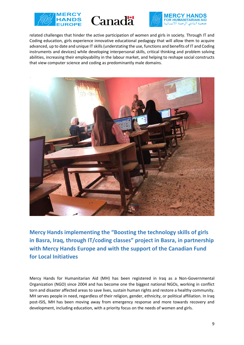





related challenges that hinder the active participation of women and girls in society. Through IT and Coding education, girls experience innovative educational pedagogy that will allow them to acquire advanced, up to date and unique IT skills (understating the use, functions and benefits of IT and Coding instruments and devices) while developing interpersonal skills, critical thinking and problem solving abilities, increasing their employability in the labour market, and helping to reshape social constructs that view computer science and coding as predominantly male domains.



**Mercy Hands implementing the "Boosting the technology skills of girls in Basra, Iraq, through IT/coding classes" project in Basra, in partnership with Mercy Hands Europe and with the support of the Canadian Fund for Local Initiatives**

Mercy Hands for Humanitarian Aid (MH) has been registered in Iraq as a Non-Governmental Organization (NGO) since 2004 and has become one the biggest national NGOs, working in conflict torn and disaster affected areas to save lives, sustain human rights and restore a healthy community. MH serves people in need, regardless of their religion, gender, ethnicity, or political affiliation. In Iraq post-ISIS, MH has been moving away from emergency response and more towards recovery and development, including education, with a priority focus on the needs of women and girls.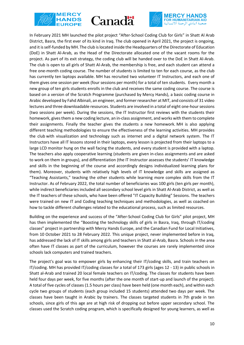





In February 2021 MH launched the pilot project "After-School Coding Club for Girls" in Shatt Al Arab District, Basra, the first ever of its kind in Iraq. The club opened in April 2021, the project is ongoing, and it is self-funded by MH. The club is located inside the Headquarters of the Directorate of Education (DoE) in Shatt Al-Arab, as the Head of the Directorate allocated one of the vacant rooms for the project. As part of its exit strategy, the coding club will be handed over to the DoE in Shatt Al-Arab. The club is open to all girls of Shatt Al-Arab, the membership is free, and each student can attend a free one-month coding course. The number of students is limited to ten for each course, as the club has currently ten laptops available. MH has recruited two volunteer IT Instructors, and each one of them gives one session per week (four sessions per month) for a total of ten students. Every month a new group of ten girls students enrolls in the club and receives the same coding course. The course is based on a version of the Scratch Programme (purchased by Mercy Hands), a basic coding course in Arabic developed by Fahd Albinali, an engineer, and former researcher at MIT, and consists of 31 video lectures and three downloadable resources. Students are involved in a total of eight one-hour sessions (two sessions per week). During the sessions, the IT Instructor first reviews with the students their homework, gives them a new coding lecture, an in-class assignment, and works with them to complete their assignments. Finally the teacher gives the students a new homework. MH is also applying different teaching methodologies to ensure the effectiveness of the learning activities. MH provides the club with visualization and technology such as internet and a digital network system. The IT Instructors have all IT lessons stored in their laptops, every lesson is projected from their laptops to a large LCD monitor hung on the wall facing the students, and every student is provided with a laptop. The teachers also apply cooperative learning (students are given in-class assignments and are asked to work on them in groups), and differentiation (the IT Instructor assesses the students' IT knowledge and skills in the beginning of the course and accordingly designs individualized learning plans for them). Moreover, students with relatively high levels of IT knowledge and skills are assigned as "Teaching Assistants," teaching the other students while learning more complex skills from the IT Instructor. As of February 2022, the total number of beneficiaries was 100 girls (ten girls per month), while indirect beneficiaries included all secondary school level girls in Shatt Al-Arab District, as well as the IT teachers of these schools, who have been offered "IT Capacity Building" Sessions. The teachers were trained on new IT and Coding teaching techniques and methodologies, as well as coached on how to tackle different challenges related to the educational process, such as limited resources.

Building on the experience and success of the "After-School Coding Club for Girls" pilot project, MH has then implemented the "Boosting the technology skills of girls in Basra, Iraq, through IT/coding classes" project in partnership with Mercy Hands Europe, and the Canadian Fund for Local Initiatives, from 10 October 2021 to 28 February 2022. This unique project, never implemented before in Iraq, has addressed the lack of IT skills among girls and teachers in Shatt al-Arab, Basra. Schools in the area often have IT classes as part of the curriculum, however the courses are rarely implemented since schools lack computers and trained teachers.

The project's goal was to empower girls by enhancing their IT/coding skills, and train teachers on IT/coding. MH has provided IT/coding classes for a total of 173 girls (ages 12 - 13) in public schools in Shatt al-Arab and trained 20 local female teachers on IT/coding. The classes for students have been held four days per week, for five months (after the one month of start-up and launch of the project). A total of five cycles of classes (1.5 hours per class) have been held (one month each), and within each cycle two groups of students (each group included 15 students) attended two days per week. The classes have been taught in Arabic by trainers. The classes targeted students in 7th grade in ten schools, since girls of this age are at high risk of dropping out before upper secondary school. The classes used the Scratch coding program, which is specifically designed for young learners, as well as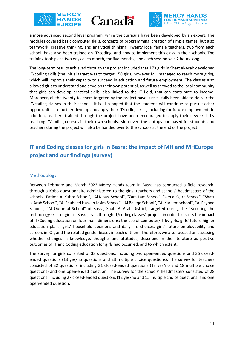





a more advanced second level program, while the curricula have been developed by an expert. The modules covered basic computer skills, concepts of programming, creation of simple games, but also teamwork, creative thinking, and analytical thinking. Twenty local female teachers, two from each school, have also been trained on IT/coding, and how to implement this class in their schools. The training took place two days each month, for five months, and each session was 2 hours long.

The long-term results achieved through the project included that 173 girls in Shatt al-Arab developed IT/coding skills (the initial target was to target 150 girls, however MH managed to reach more girls), which will improve their capacity to succeed in education and future employment. The classes also allowed girls to understand and develop their own potential, as well as showed to the local community that girls can develop practical skills, also linked to the IT field, that can contribute to income. Moreover, all the twenty teachers targeted by the project have successfully been able to deliver the IT/coding classes in their schools. It is also hoped that the students will continue to pursue other opportunities to further develop and apply their IT/coding skills, including for future employment. In addition, teachers trained through the project have been encouraged to apply their new skills by teaching IT/coding courses in their own schools. Moreover, the laptops purchased for students and teachers during the project will also be handed over to the schools at the end of the project.

# **IT and Coding classes for girls in Basra: the impact of MH and MHEurope project and our findings (survey)**

#### Methodology

Between February and March 2022 Mercy Hands team in Basra has conducted a field research, through a Kobo questionnaire administered to the girls, teachers and schools' headmasters of the schools "Fatima Al Kubra School", "Al Kibasi School", "Zam Lam School", "Um al Qura School", "Shatt al Arab School", "Al Shaheed Hassan Jasim School", "Al Baleqa School", "Al Karaem school", "Al Fayhna School", "Al Quranful School" of Basra, Shatt Al-Arab District, targeted during the "Boosting the technology skills of girls in Basra, Iraq, through IT/coding classes" project, in order to assess the impact of IT/Coding education on four main dimensions: the use of computer/IT by girls, girls' future higher education plans, girls' household decisions and daily life choices, girls' future employability and careers in ICT, and the related gender biases in each of them. Therefore, we also focused on assessing whether changes in knowledge, thoughts and attitudes, described in the literature as positive outcomes of IT and Coding education for girls had occurred, and to which extent.

The survey for girls consisted of 38 questions, including two open-ended questions and 36 closedended questions (13 yes/no questions and 23 multiple choice questions). The survey for teachers consisted of 32 questions, including 31 closed-ended questions (13 yes/no and 18 multiple choice questions) and one open-ended question. The survey for the schools' headmasters consisted of 28 questions, including 27 closed-ended questions (12 yes/no and 15 multiple choice questions) and one open-ended question.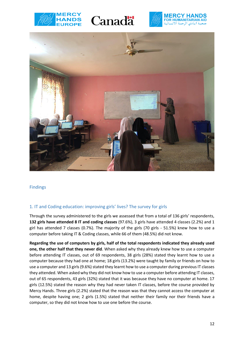







Findings

#### 1. IT and Coding education: improving girls' lives? The survey for girls

Through the survey administered to the girls we assessed that from a total of 136 girls' respondents, **132 girls have attended 8 IT and coding classes** (97.6%), 3 girls have attended 4 classes (2.2%) and 1 girl has attended 7 classes (0.7%). The majority of the girls (70 girls - 51.5%) knew how to use a computer before taking IT & Coding classes, while 66 of them (48.5%) did not know.

**Regarding the use of computers by girls, half of the total respondents indicated they already used one, the other half that they never did**. When asked why they already knew how to use a computer before attending IT classes, out of 69 respondents, 38 girls (28%) stated they learnt how to use a computer because they had one at home; 18 girls (13.2%) were taught by family or friends on how to use a computer and 13 girls (9.6%) stated they learnt how to use a computer during previous IT classes they attended. When asked why they did not know how to use a computer before attending IT classes, out of 65 respondents, 43 girls (32%) stated that it was because they have no computer at home. 17 girls (12.5%) stated the reason why they had never taken IT classes, before the course provided by Mercy Hands. Three girls (2.2%) stated that the reason was that they cannot access the computer at home, despite having one; 2 girls (1.5%) stated that neither their family nor their friends have a computer, so they did not know how to use one before the course.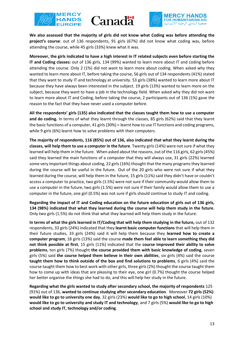





**We also assessed that the majority of girls did not know what Coding was before attending the project's course**: out of 136 respondents, 91 girls (67%) did not know what coding was, before attending the course, while 45 girls (33%) knew what it was.

**Moreover, the girls indicated to have a high interest in IT related subjects even before starting the IT and Coding classes:** out of 136 girls, 134 (99%) wanted to learn more about IT and coding before attending the course. Only 2 (1%) did not want to learn more about coding. When asked why they wanted to learn more about IT, before taking the course, 56 girls out of 134 respondents (41%) stated that they want to study IT and technology at university. 53 girls (38%) wanted to learn more about IT because they have always been interested in the subject. 19 girls (13%) wanted to learn more on the subject, because they want to have a job in the technology field. When asked why they did not want to learn more about IT and Coding, before taking the course, 2 participants out of 136 (1%) gave the reason to the fact that they have never used a computer before.

**All the respondents' girls (135) also indicated that the classes taught them how to use a computer and do coding.** In terms of what they learnt through the classes, 85 girls (62%) said that they learnt the basic functions of a computer, 41 girls (30%) = learnt how to use IT functions and coding programs, while 9 girls (6%) learnt how to solve problems with their computers.

**The majority of respondents, 116 (85%) out of 136, also indicated that what they learnt during the classes, will help them to use a computer in the future**. Twenty girls (14%) were not sure if what they learned will help them in the future. When asked about the reasons, out of the 116 girls, 62 girls (45%) said they learned the main functions of a computer that they will always use, 31 girls (22%) learned some very important things about coding, 22 girls (16%) thought that the many programs they learned during the course will be useful in the future. Out of the 20 girls who were not sure if what they learned during the course, will help them in the future, 15 girls (11%) said they didn't have or couldn't access a computer to practice, two girls (1.5%) were not sure if their community would allow them to use a computer in the future, two girls (1.5%) were not sure if their family would allow them to use a computer in the future, one girl (0.5%) was not sure if girls should continue to study IT and coding.

**Regarding the impact of IT and Coding education on the future education of girls out of 136 girls, 134 (98%) indicated that what they learned during the course will help them study in the future**. Only two girls (1.5%) do not think that what they learned will help them study in the future.

**In terms of what the girls learned in IT/Coding that will help them studying in the future,** out of 132 respondents, 33 girls (24%) indicated that they **learnt basic computer functions** that will help them in their future studies, 33 girls (24%) said it will help them because they **learned how to create a computer program**, 18 girls (13%) said the course **made them feel able to learn something they did not think possible at first**, 15 girls (11%) indicated that the **course improved their ability to solve problems**, ten girls (7%) thought **the course provided them with basic knowledge of coding**, seven girls (5%) said **the course helped them believe in their own abilities**, six girls (4%) said the course **taught them how to think outside of the box and find solutions to problems**, 6 girls (4%) said the course taught them how to best work with other girls, three girls (2%) thought the course taught them how to come up with ideas that are pleasing to their eye, one girl (0.7%) thought the course helped her better organise the things she had to do, and this will help her study in the future.

**Regarding what the girls wanted to study after secondary school, the majority of respondents** 125 (91%) out of 136, **wanted to continue studying after secondary education**. Moreover **72 girls (52%) would like to go to university one day**, 32 girls (23%) **would like to go to high school**, 14 girls (10%) **would like to go to university and study IT and technology**, and 7 girls (5%) **would like to go to high school and study IT, technology and/or coding**.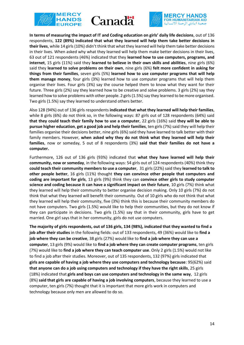





**In terms of measuring the impact of IT and Coding education on girls' daily life decisions**, out of 136 respondents, **122 (89%) indicated that what they learned will help them take better decisions in their lives**, while 14 girls (10%) didn't think that what they learned will help them take better decisions in their lives. When asked why what they learned will help them make better decisions in their lives, 63 out of 121 respondents (46%) indicated that they **learned how to use computers, programs, and internet**, 15 girls (11%) said they **learned to believe in their own skills and abilities**, nine girls (6%) said they **learned to solve problems on their own**, nine girls (6%) **felt more confident in asking for things from their families**, seven girls (5%) **learned how to use computer programs that will help them manage money**, four girls (3%) learned how to use computer programs that will help them organise their lives. Four girls (3%) say the course helped them to know what they want for their future. Three girls (2%) say they learned how to be creative and solve problems. 3 girls (2%) say they learned how to solve problems with other people. 2 girls (1.5%) say they learned to be more organised. Two girls (1.5%) say they learned to understand others better.

Also 128 (94%) out of 136 girls respondents **indicated that what they learned will help their families**, while 8 girls (6%) do not think so, in the following ways: 87 girls out of 128 respondents (64%) said **that they could teach their family how to use a computer**, 22 girls (16%) said **they will be able to pursue higher education**, **get a good job and help their families**, ten girls (7%) said they will help their families organise their decisions better, nine girls (6%) said they have learned to talk better with their family members. However, **when asked why they do not think what they learned will help their families**, now or someday, 5 out of 8 respondents (3%) **said that their families do not have a computer.**

Furthermore, 126 out of 136 girls (93%) indicated that **what they have learned will help their community, now or someday**, in the following ways: 54 girls out of 124 respondents (40%) think they **could teach their community members to use a computer**, 31 girls (22%) said they **learned to talk to other people better**, 16 girls (11%) thought **they can convince other people that computers and coding are important for girls**, 13 girls (9%) think they can **convince other girls to study computer science and coding because it can have a significant impact on their future**, 10 girls (7%) think what they learned will help their community to better organise decision making. Only 10 girls (7%) do not think that what they learned will benefit their community. Out of 10 girls who do not think that what they learned will help their community, five (3%) think this is because their community members do not have computers. Two girls (1.5%) would like to help their communities, but they do not know if they can participate in decisions. Two girls (1.5%) say that in their community, girls have to get married. One girl says that in her community, girls do not use computers.

**The majority of girls respondents, out of 136 girls, 134 (98%), indicated that they wanted to find a job after their studies** in the following fields: out of 133 respondents, 49 (36%) would like to **find a job where they can be creative**, 38 girls (27%) would like to **find a job where they can use a computer**, 13 girls (9%) would like to **find a job where they can create computer programs**, ten girls (7%) would like to **find a job where they can teach computer use**. Only 2 girls (1.5%) would not like to find a job after their studies. Moreover, out of 135 respondents, 132 (97%) girls indicated that **girls are capable of having a job where they use computers and technology because**: 95(62%) said **that anyone can do a job using computers and technology if they have the right skills**, 25 girls (18%) indicated that **girls and boys can use computers and technology in the same way**, 12 girls (8%) **said that girls are capable of having a job involving computers**, because they learned to use a computer, ten girls (7%) thought that it is important that more girls work in computers and technology because only men are allowed to do so.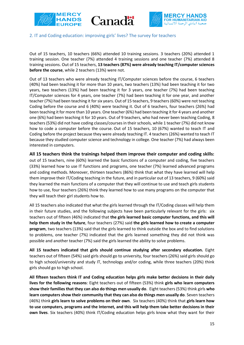





#### 2. IT and Coding education: improving girls' lives? The survey for teachers

Out of 15 teachers, 10 teachers (66%) attended 10 training sessions. 3 teachers (20%) attended 1 training session. One teacher (7%) attended 4 training sessions and one teacher (7%) attended 8 training sessions. Out of 15 teachers, **13 teachers (87%) were already teaching IT/computer sciences before the course**, while 2 teachers (13%) were not.

Out of 13 teachers who were already teaching IT/Computer sciences before the course, 6 teachers (40%) had been teaching it for more than 10 years, two teachers (13%) had been teaching it for two years, two teachers (13%) had been teaching it for 3 years, one teacher (7%) had been teaching IT/Computer sciences for 4 years, one teacher (7%) had been teaching it for one year, and another teacher (7%) had been teaching it for six years. Out of 15 teachers, 9 teachers (60%) were not teaching Coding before the course and 6 (40%) were teaching it. Out of 6 teachers, four teachers (26%) had been teaching it for more than 10 years. One teacher (6%) had been teaching it for 4 years and another one (6%) had been teaching it for 10 years. Out of 9 teachers, who had never been teaching Coding, 8 teachers (53%) did not have coding classes/courses in their schools, while 1 teacher (7%) did not know how to code a computer before the course. Out of 15 teachers, 10 (67%) wanted to teach IT and Coding before the project because they were already teaching IT. 4 teachers (26%) wanted to teach IT because they studied computer science and technology in college. One teacher (7%) had always been interested in computers.

**All 15 teachers think the trainings helped them improve their computer and coding skills:**  out of 15 teachers, nine (60%) learned the basic functions of a computer and coding, five teachers (33%) learned how to use IT functions and programs, one teacher (7%) learned advanced programs and coding methods. Moreover, thirteen teachers (86%) think that what they have learned will help them improve their IT/Coding teaching in the future, and in particular out of 13 teachers, 9 (60%) said they learned the main functions of a computer that they will continue to use and teach girls students how to use, four teachers (26%) think they learned how to use many programs on the computer that they will teach their girl students how to.

All 15 teachers also indicated that what the girls learned through the IT/Coding classes will help them in their future studies, and the following subjects have been particularly relevant for the girls: six teachers out of fifteen (46%) indicated that **the girls learned basic computer functions, and this will help them study in the future**, four teachers (27%) said **the girls learned how to create a computer program**, two teachers (13%) said that the girls learned to think outside the box and to find solutions to problems, one teacher (7%) indicated that the girls learned something they did not think was possible and another teacher (7%) said the girls learned the ability to solve problems.

**All 15 teachers indicated that girls should continue studying after secondary education.** Eight teachers out of fifteen (54%) said girls should go to university, four teachers (26%) said girls should go to high school/university and study IT, technology and/or coding, while three teachers (20%) think girls should go to high school.

**All fifteen teachers think IT and Coding education helps girls make better decisions in their daily lives for the following reasons**: Eight teachers out of fifteen (53%) think **girls who learn computers show their families that they can also do things men usually do**. Eight teachers (53%) think girls **who learn computers show their community that they can also do things men usually do**. Seven teachers (46%) think **girls learn to solve problems on their own**. Six teachers (40%) think that **girls learn how to use computers, programs and the Internet, and this will help them take better decisions in their own lives**. Six teachers (40%) think IT/Coding education helps girls know what they want for their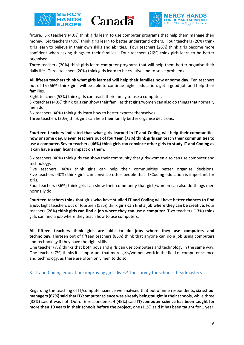





future. Six teachers (40%) think girls learn to use computer programs that help them manage their money. Six teachers (40%) think girls learn to better understand others. Four teachers (26%) think girls learn to believe in their own skills and abilities. Four teachers (26%) think girls become more confident when asking things to their families. Four teachers (26%) think girls learn to be better organised.

Three teachers (20%) think girls learn computer programs that will help them better organise their daily life. Three teachers (20%) think girls learn to be creative and to solve problems.

**All fifteen teachers think what girls learned will help their families now or some day.** Ten teachers out of 15 (66%) think girls will be able to continue higher education, get a good job and help their families.

Eight teachers (53%) think girls can teach their family to use a computer.

Six teachers (40%) think girls can show their families that girls/women can also do things that normally men do.

Six teachers (40%) think girls learn how to better express themselves.

Three teachers (20%) think girls can help their family better organise decisions.

**Fourteen teachers indicated that what girls learned in IT and Coding will help their communities now or some day. Eleven teachers out of fourteen (73%) think girls can teach their communities to use a computer. Seven teachers (46%) think girls can convince other girls to study IT and Coding as it can have a significant impact on them.** 

Six teachers (40%) think girls can show their community that girls/women also can use computer and technology.

Five teachers (40%) think girls can help their communities better organise decisions. Five teachers (40%) think girls can convince other people that IT/Coding education is important for girls.

Four teachers (36%) think girls can show their community that girls/women can also do things men normally do.

**Fourteen teachers think that girls who have studied IT and Coding will have better chances to find a job.** Eight teachers out of fourteen (53%) think **girls can find a job where they can be creative**. Four teachers (26%) **think girls can find a job where they can use a computer**. Two teachers (13%) think girls can find a job where they teach how to use computers.

**All fifteen teachers think girls are able to do jobs where they use computers and technology.** Thirteen out of fifteen teachers (86%) think that anyone can do a job using computers and technology if they have the right skills.

One teacher (7%) thinks that both boys and girls can use computers and technology in the same way. One teacher (7%) thinks it is important that more girls/women work in the field of computer science and technology, as there are often only men to do so.

#### 3. IT and Coding education: improving girls' lives? The survey for schools' headmasters

Regarding the teaching of IT/computer science we analysed that out of nine respondents**, six school managers (67%) said that IT/computer science was already being taught in their schools**, while three (33%) said it was not. Out of 6 respondents, 4 (45%) said **IT/computer science has been taught for more than 10 years in their schools before the project**, one (11%) said it has been taught for 1 year,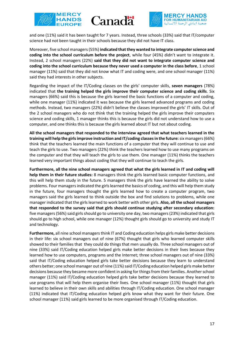





and one (11%) said it has been taught for 7 years. Instead, three schools (33%) said that IT/computer science had not been taught in their schools because they did not have IT class.

Moreover, five school managers (55%) **indicated that they wanted to integrate computer science and coding into the school curriculum before the project**, while four (45%) didn't want to integrate it. Instead, 2 school managers (22%) **said that they did not want to integrate computer science and coding into the school curriculum because they never used a computer in the class before**, 1 school manager (11%) said that they did not know what IT and coding were, and one school manager (11%) said they had interests in other subjects.

Regarding the impact of the IT/Coding classes on the girls' computer skills, **seven managers** (78%) indicated that **the training helped the girls improve their computer science and coding skills**. Six managers (66%) said this is because the girls learned the basic functions of a computer and coding, while one manager (11%) indicated it was because the girls learned advanced programs and coding methods. Instead, two managers (22%) didn't believe the classes improved the girls' IT skills. Out of the 2 school managers who do not think that the training helped the girls improve their computers science and coding skills, 1 manager thinks this is because the girls did not understand how to use a computer, and one thinks this is because the girls learned about IT but not about coding.

**All the school managers that responded to the interview agreed that what teachers learned in the training will help the girls improve instruction and IT/coding classes in the future:** six managers (66%) think that the teachers learned the main functions of a computer that they will continue to use and teach the girls to use. Two managers (22%) think the teachers learned how to use many programs on the computer and that they will teach the girls to use them. One manager (11%) thinks the teachers learned very important things about coding that they will continue to teach the girls.

**Furthermore, all the nine school managers agreed that what the girls learned in IT and coding will help them in their future studies:** 8 managers think the girls learned basic computer functions, and this will help them study in the future. 5 managers think the girls have learned the ability to solve problems. Four managers indicated the girls learned the basics of coding, and this will help them study in the future, four managers thought the girls learned how to create a computer program, two managers said the girls learned to think outside the box and find solutions to problems, while one manager indicated that the girls learned to work better with other girls. **Also, all the school managers that responded to the survey said that girls should continue studying after secondary education:**  five managers (56%) said girls should go to university one day, two managers (23%) indicated that girls should go to high school, while one manager (12%) thought girls should go to university and study IT and technology.

**Furthermore,** all nine school managers think IT and Coding education helps girls make better decisions in their life**:** six school managers out of nine (67%) thought that girls who learned computer skills showed to their families that they could do things that men usually do. Three school managers out of nine (33%) said IT/Coding education helped girls make better decisions in their lives because they learned how to use computers, programs and the Internet; three school managers out of nine (33%) said that IT/Coding education helped girls take better decisions because they learn to understand others better; one school manager out of nine (11%) said IT/Coding education helped girls make better decisions because they became more confident in asking for things from their families. Another school manager (11%) said IT/Coding education helped girls take better decisions because they learned to use programs that will help them organise their lives. One school manager (11%) thought that girls learned to believe in their own skills and abilities through IT/Coding education. One school manager (11%) indicated that IT/Coding education helped girls know what they want for their future. One school manager (11%) said girls learned to be more organised through IT/Coding education.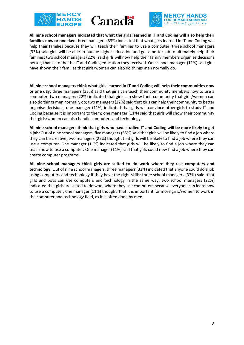





**All nine school managers indicated that what the girls learned in IT and Coding will also help their families now or one day:** three managers (33%) indicated that what girls learned in IT and Coding will help their families because they will teach their families to use a computer; three school managers (33%) said girls will be able to pursue higher education and get a better job to ultimately help their families; two school managers (22%) said girls will now help their family members organise decisions better, thanks to the the IT and Coding education they received. One school manager (11%) said girls have shown their families that girls/women can also do things men normally do.

**All nine school managers think what girls learned in IT and Coding will help their communities now or one day:** three managers (33%) said that girls can teach their community members how to use a computer; two managers (22%) indicated that girls can show their community that girls/women can also do things men normally do; two managers (22%) said that girls can help their community to better organise decisions; one manager (11%) indicated that girls will convince other girls to study IT and Coding because it is important to them; one manager (11%) said that girls will show their community that girls/women can also handle computers and technology.

**All nine school managers think that girls who have studied IT and Coding will be more likely to get a job:** Out of nine school managers, five managers (55%) said that girls will be likely to find a job where they can be creative, two managers (22%) thought that girls will be likely to find a job where they can use a computer. One manager (11%) indicated that girls will be likely to find a job where they can teach how to use a computer. One manager (11%) said that girls could now find a job where they can create computer programs.

**All nine school managers think girls are suited to do work where they use computers and technology:** Out of nine school managers, three managers (33%) indicated that anyone could do a job using computers and technology if they have the right skills; three school managers (33%) said that girls and boys can use computers and technology in the same way; two school managers (22%) indicated that girls are suited to do work where they use computers because everyone can learn how to use a computer; one manager (11%) thought that it is important for more girls/women to work in the computer and technology field, as it is often done by men**.**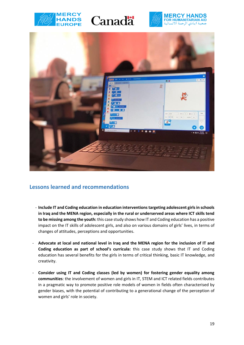







## **Lessons learned and recommendations**

- **Include IT and Coding education in education interventions targeting adolescent girls in schools in Iraq and the MENA region, especially in the rural or underserved areas where ICT skills tend to be missing among the youth:** this case study shows how IT and Coding education has a positive impact on the IT skills of adolescent girls, and also on various domains of girls' lives, in terms of changes of attitudes, perceptions and opportunities.
- **Advocate at local and national level in Iraq and the MENA region for the inclusion of IT and Coding education as part of school's curricula:** this case study shows that IT and Coding education has several benefits for the girls in terms of critical thinking, basic IT knowledge, and creativity.
- **Consider using IT and Coding classes (led by women) for fostering gender equality among communities**: the involvement of women and girls in IT, STEM and ICT related fields contributes in a pragmatic way to promote positive role models of women in fields often characterised by gender biases, with the potential of contributing to a generational change of the perception of women and girls' role in society.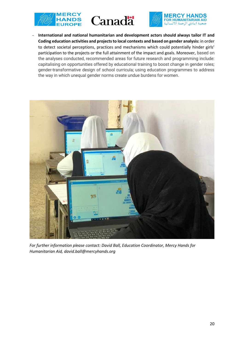





- **International and national humanitarian and development actors should always tailor IT and Coding education activities and projects to local contexts and based on gender analysis:** in order to detect societal perceptions, practices and mechanisms which could potentially hinder girls' participation to the projects or the full attainment of the impact and goals. Moreover, based on the analyses conducted, recommended areas for future research and programming include: capitalising on opportunities offered by educational training to boost change in gender roles; gender-transformative design of school curricula; using education programmes to address the way in which unequal gender norms create undue burdens for women.



*For further information please contact: David Ball, Education Coordinator, Mercy Hands for Humanitarian Aid, david.ball@mercyhands.org*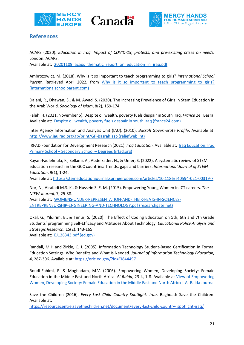





## **References**

ACAPS (2020). *Education in Iraq. Impact of COVID-19, protests, and pre-existing crises on needs.*  London: ACAPS. Available at: 20201109 acaps\_thematic\_report\_on\_education\_in\_iraq.pdf

Ambrozowicz, M. (2018). Why is it so important to teach programming to girls? *International School*  Parent. Retrieved April 2022, from Why is it so important to teach programming to girls? [\(internationalschoolparent.com\)](https://www.internationalschoolparent.com/articles/why-is-it-important-to-teach-programming-to-girls/)

Dajani, R., Dhawan, S., & M. Awad, S. (2020). The Increasing Prevalence of Girls in Stem Education in the Arab World. *Sociology of Islam*, 8(2), 159-174.

Faleh, H. (2021, November 5). Despite oil wealth, poverty fuels despair in South Iraq. *France 24*. Basra. Available at: [Despite oil wealth, poverty fuels despair in south Iraq \(france24.com\)](https://www.france24.com/en/live-news/20211105-despite-oil-wealth-poverty-fuels-despair-in-south-iraq)

Inter Agency Information and Analysis Unit (IAU). (2010). *Basrah Governorate Profile*. Available at: [http://www.iauiraq.org/gp/print/GP-Basrah.asp \(reliefweb.int\)](https://reliefweb.int/sites/reliefweb.int/files/resources/D0A91C75A9C5AEFFC12577EB004F81BB-Full_Report.pdf)

IRFAD Foundation for Development Research (2021). *Iraq Education.* Available at: [Iraq Education: Iraq](http://www.irfad.org/iraq-education/)  Primary School – Secondary School – [Degrees \(irfad.org\)](http://www.irfad.org/iraq-education/)

Kayan-Fadlelmula, F., Sellami, A., Abdelkader, N., & Umer, S. (2022). A systematic review of STEM education research in the GCC countries: Trends, gaps and barriers. *International Journal of STEM Education*, 9(1), 1-24.

Available at[: https://stemeducationjournal.springeropen.com/articles/10.1186/s40594-021-00319-7](https://stemeducationjournal.springeropen.com/articles/10.1186/s40594-021-00319-7)

Nor, N., Alrafadi M.S. K., & Hussein S. E. M. (2015). Empowering Young Women in ICT careers. *The NIEW Journal,* 7, 25-38.

Available at: [WOMENS-UNDER-REPRESENTATION-AND-THEIR-FEATS-IN-SCIENCES-](https://www.researchgate.net/profile/Lukman-Raimi/publication/309322173_WOMEN)[ENTREPRENEURSHIP-ENGINEERING-AND-TECHNOLOGY.pdf \(researchgate.net\)](https://www.researchgate.net/profile/Lukman-Raimi/publication/309322173_WOMEN)

Okal, G., Yildirim, B., & Timur, S. (2020). The Effect of Coding Education on 5th, 6th and 7th Grade Students' programming Self-Efficacy and Attitudes About Technology. *Educational Policy Analysis and Strategic Research,* 15(2), 143-165. Available at: [EJ126343.pdf \(ed.gov\)](https://files.eric.ed.gov/fulltext/EJ1263433.pdf)

Randall, M.H and Zirkle, C. J. (2005). Information Technology Student-Based Certification in Formal Education Settings: Who Benefits and What Is Needed. *Journal of Information Technology Education, 4*, 287-306. Available at[: https://eric.ed.gov/?id=EJ844497](https://eric.ed.gov/?id=EJ844497)

Roudi-Fahimi, F. & Moghadam, M.V. (2006). Empowering Women, Developing Society: Female Education in the Middle East and North Africa. *Al-Raida,* 23-4, 1-8. Available at [View of Empowering](http://165.22.29.48/index.php/ALRJ/article/view/221/220)  [Women, Developing Society: Female Education in the Middle East and North Africa | Al-Raida Journal](http://165.22.29.48/index.php/ALRJ/article/view/221/220)

Save the Children (2016). *Every Last Child Country Spotlight: Iraq*. Baghdad: Save the Children. Available at:

[https://resourcecentre.savethechildren.net/document/every-last-child-country-](https://resourcecentre.savethechildren.net/document/every-last-child-country-spotlight-iraq/) spotlight-iraq/